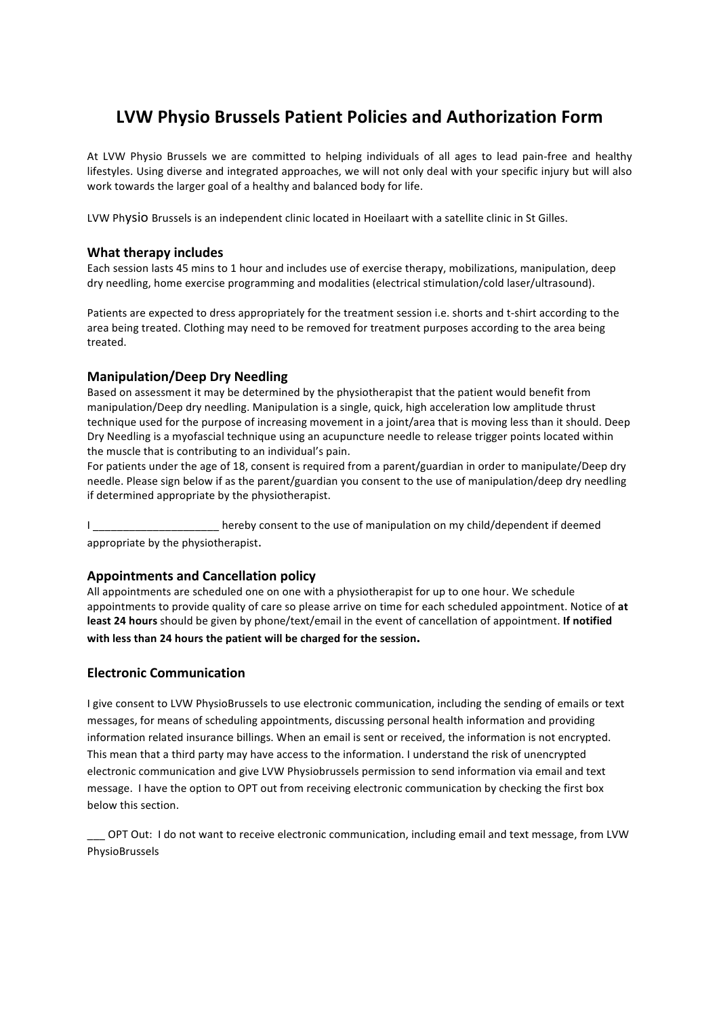# **LVW Physio Brussels Patient Policies and Authorization Form**

At LVW Physio Brussels we are committed to helping individuals of all ages to lead pain-free and healthy lifestyles. Using diverse and integrated approaches, we will not only deal with your specific injury but will also work towards the larger goal of a healthy and balanced body for life.

LVW Physio Brussels is an independent clinic located in Hoeilaart with a satellite clinic in St Gilles.

## **What therapy includes**

Each session lasts 45 mins to 1 hour and includes use of exercise therapy, mobilizations, manipulation, deep dry needling, home exercise programming and modalities (electrical stimulation/cold laser/ultrasound).

Patients are expected to dress appropriately for the treatment session i.e. shorts and t-shirt according to the area being treated. Clothing may need to be removed for treatment purposes according to the area being treated. 

# **Manipulation/Deep Dry Needling**

Based on assessment it may be determined by the physiotherapist that the patient would benefit from manipulation/Deep dry needling. Manipulation is a single, quick, high acceleration low amplitude thrust technique used for the purpose of increasing movement in a joint/area that is moving less than it should. Deep Dry Needling is a myofascial technique using an acupuncture needle to release trigger points located within the muscle that is contributing to an individual's pain.

For patients under the age of 18, consent is required from a parent/guardian in order to manipulate/Deep dry needle. Please sign below if as the parent/guardian you consent to the use of manipulation/deep dry needling if determined appropriate by the physiotherapist.

I compared a hereby consent to the use of manipulation on my child/dependent if deemed appropriate by the physiotherapist.

## **Appointments and Cancellation policy**

All appointments are scheduled one on one with a physiotherapist for up to one hour. We schedule appointments to provide quality of care so please arrive on time for each scheduled appointment. Notice of at least 24 hours should be given by phone/text/email in the event of cancellation of appointment. If notified with less than 24 hours the patient will be charged for the session.

# **Electronic Communication**

I give consent to LVW PhysioBrussels to use electronic communication, including the sending of emails or text messages, for means of scheduling appointments, discussing personal health information and providing information related insurance billings. When an email is sent or received, the information is not encrypted. This mean that a third party may have access to the information. I understand the risk of unencrypted electronic communication and give LVW Physiobrussels permission to send information via email and text message. I have the option to OPT out from receiving electronic communication by checking the first box below this section.

OPT Out: I do not want to receive electronic communication, including email and text message, from LVW PhysioBrussels